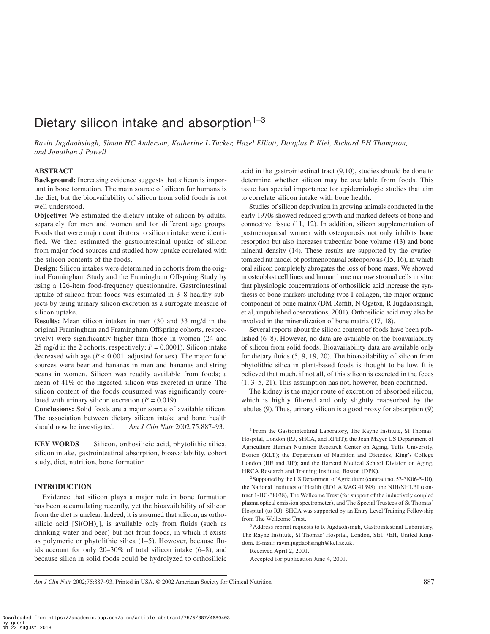# Dietary silicon intake and absorption $1-3$

*Ravin Jugdaohsingh, Simon HC Anderson, Katherine L Tucker, Hazel Elliott, Douglas P Kiel, Richard PH Thompson, and Jonathan J Powell*

# **ABSTRACT**

**Background:** Increasing evidence suggests that silicon is important in bone formation. The main source of silicon for humans is the diet, but the bioavailability of silicon from solid foods is not well understood.

**Objective:** We estimated the dietary intake of silicon by adults, separately for men and women and for different age groups. Foods that were major contributors to silicon intake were identified. We then estimated the gastrointestinal uptake of silicon from major food sources and studied how uptake correlated with the silicon contents of the foods.

**Design:** Silicon intakes were determined in cohorts from the original Framingham Study and the Framingham Offspring Study by using a 126-item food-frequency questionnaire. Gastrointestinal uptake of silicon from foods was estimated in 3–8 healthy subjects by using urinary silicon excretion as a surrogate measure of silicon uptake.

**Results:** Mean silicon intakes in men (30 and 33 mg/d in the original Framingham and Framingham Offspring cohorts, respectively) were significantly higher than those in women (24 and 25 mg/d in the 2 cohorts, respectively;  $P = 0.0001$ ). Silicon intake decreased with age (*P* < 0.001, adjusted for sex). The major food sources were beer and bananas in men and bananas and string beans in women. Silicon was readily available from foods; a mean of 41% of the ingested silicon was excreted in urine. The silicon content of the foods consumed was significantly correlated with urinary silicon excretion  $(P = 0.019)$ .

**Conclusions:** Solid foods are a major source of available silicon. The association between dietary silicon intake and bone health should now be investigated. *Am J Clin Nutr* 2002;75:887–93.

**KEY WORDS** Silicon, orthosilicic acid, phytolithic silica, silicon intake, gastrointestinal absorption, bioavailability, cohort study, diet, nutrition, bone formation

### **INTRODUCTION**

Evidence that silicon plays a major role in bone formation has been accumulating recently, yet the bioavailability of silicon from the diet is unclear. Indeed, it is assumed that silicon, as orthosilicic acid  $[Si(OH)_4]$ , is available only from fluids (such as drinking water and beer) but not from foods, in which it exists as polymeric or phytolithic silica (1–5). However, because fluids account for only 20–30% of total silicon intake (6–8), and because silica in solid foods could be hydrolyzed to orthosilicic acid in the gastrointestinal tract (9,10), studies should be done to determine whether silicon may be available from foods. This issue has special importance for epidemiologic studies that aim to correlate silicon intake with bone health.

Studies of silicon deprivation in growing animals conducted in the early 1970s showed reduced growth and marked defects of bone and connective tissue (11, 12). In addition, silicon supplementation of postmenopausal women with osteoporosis not only inhibits bone resorption but also increases trabecular bone volume (13) and bone mineral density (14). These results are supported by the ovariectomized rat model of postmenopausal osteoporosis (15, 16), in which oral silicon completely abrogates the loss of bone mass. We showed in osteoblast cell lines and human bone marrow stromal cells in vitro that physiologic concentrations of orthosilicic acid increase the synthesis of bone markers including type I collagen, the major organic component of bone matrix (DM Reffitt, N Ogston, R Jugdaohsingh, et al, unpublished observations, 2001). Orthosilicic acid may also be involved in the mineralization of bone matrix (17, 18).

Several reports about the silicon content of foods have been published (6–8). However, no data are available on the bioavailability of silicon from solid foods. Bioavailability data are available only for dietary fluids (5, 9, 19, 20). The bioavailability of silicon from phytolithic silica in plant-based foods is thought to be low. It is believed that much, if not all, of this silicon is excreted in the feces (1, 3–5, 21). This assumption has not, however, been confirmed.

The kidney is the major route of excretion of absorbed silicon, which is highly filtered and only slightly reabsorbed by the tubules (9). Thus, urinary silicon is a good proxy for absorption (9)

Received April 2, 2001.

Accepted for publication June 4, 2001.

<sup>&</sup>lt;sup>1</sup> From the Gastrointestinal Laboratory, The Rayne Institute, St Thomas' Hospital, London (RJ, SHCA, and RPHT); the Jean Mayer US Department of Agriculture Human Nutrition Research Center on Aging, Tufts University, Boston (KLT); the Department of Nutrition and Dietetics, King's College London (HE and JJP); and the Harvard Medical School Division on Aging, HRCA Research and Training Institute, Boston (DPK).

<sup>2</sup>Supported by the US Department of Agriculture (contract no. 53-3K06-5-10), the National Institutes of Health (RO1 AR/AG 41398), the NIH/NHLBI (contract 1-HC-38038), The Wellcome Trust (for support of the inductively coupled plasma optical emission spectrometer), and The Special Trustees of St Thomas' Hospital (to RJ). SHCA was supported by an Entry Level Training Fellowship from The Wellcome Trust.

<sup>&</sup>lt;sup>3</sup> Address reprint requests to R Jugdaohsingh, Gastrointestinal Laboratory, The Rayne Institute, St Thomas' Hospital, London, SE1 7EH, United Kingdom. E-mail: ravin.jugdaohsingh@kcl.ac.uk.

*Am J Clin Nutr* 2002;75:887–93. Printed in USA. © 2002 American Society for Clinical Nutrition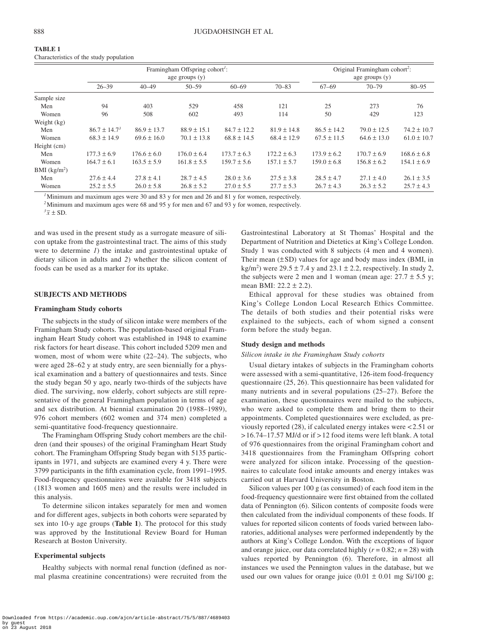| TABLE 1                                 |  |
|-----------------------------------------|--|
| Characteristics of the study population |  |

|               | Framingham Offspring cohort <sup>1</sup> :<br>age groups $(y)$ |                 |                 |                 | Original Framingham cohort <sup>2</sup> :<br>age groups $(y)$ |                 |                 |                 |
|---------------|----------------------------------------------------------------|-----------------|-----------------|-----------------|---------------------------------------------------------------|-----------------|-----------------|-----------------|
|               | $26 - 39$                                                      | $40 - 49$       | $50 - 59$       | $60 - 69$       | $70 - 83$                                                     | $67 - 69$       | $70 - 79$       | $80 - 95$       |
| Sample size   |                                                                |                 |                 |                 |                                                               |                 |                 |                 |
| Men           | 94                                                             | 403             | 529             | 458             | 121                                                           | 25              | 273             | 76              |
| Women         | 96                                                             | 508             | 602             | 493             | 114                                                           | 50              | 429             | 123             |
| Weight (kg)   |                                                                |                 |                 |                 |                                                               |                 |                 |                 |
| Men           | $86.7 \pm 14.7^3$                                              | $86.9 \pm 13.7$ | $88.9 \pm 15.1$ | $84.7 \pm 12.2$ | $81.9 \pm 14.8$                                               | $86.5 \pm 14.2$ | $79.0 \pm 12.5$ | $74.2 \pm 10.7$ |
| Women         | $68.3 \pm 14.9$                                                | $69.6 \pm 16.0$ | $70.1 \pm 13.8$ | $68.8 \pm 14.5$ | $68.4 \pm 12.9$                                               | $67.5 \pm 11.5$ | $64.6 \pm 13.0$ | $61.0 \pm 10.7$ |
| Height (cm)   |                                                                |                 |                 |                 |                                                               |                 |                 |                 |
| Men           | $177.3 \pm 6.9$                                                | $176.6 \pm 6.0$ | $176.0 \pm 6.4$ | $173.7 \pm 6.3$ | $172.2 \pm 6.3$                                               | $173.9 \pm 6.2$ | $170.7 \pm 6.9$ | $168.6 \pm 6.8$ |
| Women         | $164.7 \pm 6.1$                                                | $163.5 \pm 5.9$ | $161.8 \pm 5.5$ | $159.7 \pm 5.6$ | $157.1 \pm 5.7$                                               | $159.0 \pm 6.8$ | $156.8 \pm 6.2$ | $154.1 \pm 6.9$ |
| BMI $(kg/m2)$ |                                                                |                 |                 |                 |                                                               |                 |                 |                 |
| Men           | $27.6 \pm 4.4$                                                 | $27.8 \pm 4.1$  | $28.7 \pm 4.5$  | $28.0 \pm 3.6$  | $27.5 \pm 3.8$                                                | $28.5 \pm 4.7$  | $27.1 \pm 4.0$  | $26.1 \pm 3.5$  |
| Women         | $25.2 \pm 5.5$                                                 | $26.0 \pm 5.8$  | $26.8 \pm 5.2$  | $27.0 \pm 5.5$  | $27.7 \pm 5.3$                                                | $26.7 \pm 4.3$  | $26.3 \pm 5.2$  | $25.7 \pm 4.3$  |

*<sup>1</sup>*Minimum and maximum ages were 30 and 83 y for men and 26 and 81 y for women, respectively.

*<sup>2</sup>*Minimum and maximum ages were 68 and 95 y for men and 67 and 93 y for women, respectively.

 $\sqrt[3]{x} \pm SD$ .

and was used in the present study as a surrogate measure of silicon uptake from the gastrointestinal tract. The aims of this study were to determine *1*) the intake and gastrointestinal uptake of dietary silicon in adults and *2*) whether the silicon content of foods can be used as a marker for its uptake.

# **SUBJECTS AND METHODS**

# **Framingham Study cohorts**

The subjects in the study of silicon intake were members of the Framingham Study cohorts. The population-based original Framingham Heart Study cohort was established in 1948 to examine risk factors for heart disease. This cohort included 5209 men and women, most of whom were white (22–24). The subjects, who were aged 28–62 y at study entry, are seen biennially for a physical examination and a battery of questionnaires and tests. Since the study began 50 y ago, nearly two-thirds of the subjects have died. The surviving, now elderly, cohort subjects are still representative of the general Framingham population in terms of age and sex distribution. At biennial examination 20 (1988–1989), 976 cohort members (602 women and 374 men) completed a semi-quantitative food-frequency questionnaire.

The Framingham Offspring Study cohort members are the children (and their spouses) of the original Framingham Heart Study cohort. The Framingham Offspring Study began with 5135 participants in 1971, and subjects are examined every 4 y. There were 3799 participants in the fifth examination cycle, from 1991–1995. Food-frequency questionnaires were available for 3418 subjects (1813 women and 1605 men) and the results were included in this analysis.

To determine silicon intakes separately for men and women and for different ages, subjects in both cohorts were separated by sex into 10-y age groups (**Table 1**). The protocol for this study was approved by the Institutional Review Board for Human Research at Boston University.

# **Experimental subjects**

Healthy subjects with normal renal function (defined as normal plasma creatinine concentrations) were recruited from the

Gastrointestinal Laboratory at St Thomas' Hospital and the Department of Nutrition and Dietetics at King's College London. Study 1 was conducted with 8 subjects (4 men and 4 women). Their mean  $(\pm SD)$  values for age and body mass index (BMI, in kg/m<sup>2</sup>) were 29.5  $\pm$  7.4 y and 23.1  $\pm$  2.2, respectively. In study 2, the subjects were 2 men and 1 woman (mean age:  $27.7 \pm 5.5$  y; mean BMI: 22.2 ± 2.2).

Ethical approval for these studies was obtained from King's College London Local Research Ethics Committee. The details of both studies and their potential risks were explained to the subjects, each of whom signed a consent form before the study began.

# **Study design and methods**

# *Silicon intake in the Framingham Study cohorts*

Usual dietary intakes of subjects in the Framingham cohorts were assessed with a semi-quantitative, 126-item food-frequency questionnaire (25, 26). This questionnaire has been validated for many nutrients and in several populations (25–27). Before the examination, these questionnaires were mailed to the subjects, who were asked to complete them and bring them to their appointments. Completed questionnaires were excluded, as previously reported (28), if calculated energy intakes were < 2.51 or > 16.74–17.57 MJ/d or if > 12 food items were left blank. A total of 976 questionnaires from the original Framingham cohort and 3418 questionnaires from the Framingham Offspring cohort were analyzed for silicon intake. Processing of the questionnaires to calculate food intake amounts and energy intakes was carried out at Harvard University in Boston.

Silicon values per 100 g (as consumed) of each food item in the food-frequency questionnaire were first obtained from the collated data of Pennington (6). Silicon contents of composite foods were then calculated from the individual components of these foods. If values for reported silicon contents of foods varied between laboratories, additional analyses were performed independently by the authors at King's College London. With the exceptions of liquor and orange juice, our data correlated highly  $(r = 0.82; n = 28)$  with values reported by Pennington (6). Therefore, in almost all instances we used the Pennington values in the database, but we used our own values for orange juice  $(0.01 \pm 0.01 \text{ mg Si}/100 \text{ g})$ ;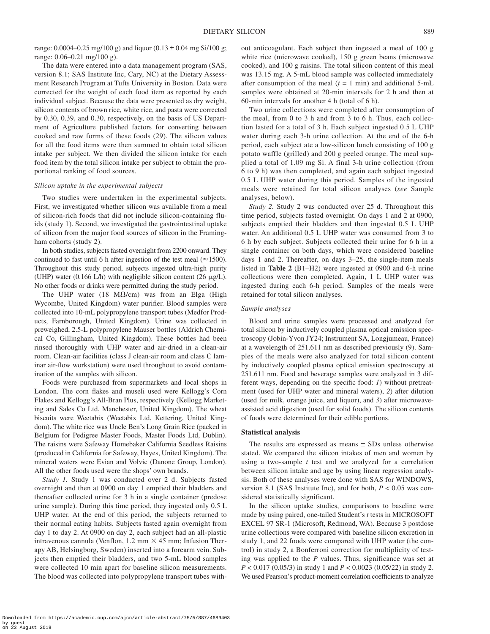range: 0.0004–0.25 mg/100 g) and liquor  $(0.13 \pm 0.04$  mg Si/100 g; range: 0.06–0.21 mg/100 g).

The data were entered into a data management program (SAS, version 8.1; SAS Institute Inc, Cary, NC) at the Dietary Assessment Research Program at Tufts University in Boston. Data were corrected for the weight of each food item as reported by each individual subject. Because the data were presented as dry weight, silicon contents of brown rice, white rice, and pasta were corrected by 0.30, 0.39, and 0.30, respectively, on the basis of US Department of Agriculture published factors for converting between cooked and raw forms of these foods (29). The silicon values for all the food items were then summed to obtain total silicon intake per subject. We then divided the silicon intake for each food item by the total silicon intake per subject to obtain the proportional ranking of food sources.

## *Silicon uptake in the experimental subjects*

Two studies were undertaken in the experimental subjects. First, we investigated whether silicon was available from a meal of silicon-rich foods that did not include silicon-containing fluids (study 1). Second, we investigated the gastrointestinal uptake of silicon from the major food sources of silicon in the Framingham cohorts (study 2).

In both studies, subjects fasted overnight from 2200 onward. They continued to fast until 6 h after ingestion of the test meal  $(\approx 1500)$ . Throughout this study period, subjects ingested ultra-high purity (UHP) water (0.166 L/h) with negligible silicon content (26  $\mu$ g/L). No other foods or drinks were permitted during the study period.

The UHP water (18 M $\Omega$ /cm) was from an Elga (High Wycombe, United Kingdom) water purifier. Blood samples were collected into 10-mL polypropylene transport tubes (Medfor Products, Farnborough, United Kingdom). Urine was collected in preweighed, 2.5-L polypropylene Mauser bottles (Aldrich Chemical Co, Gillingham, United Kingdom). These bottles had been rinsed thoroughly with UHP water and air-dried in a clean-air room. Clean-air facilities (class J clean-air room and class C laminar air-flow workstation) were used throughout to avoid contamination of the samples with silicon.

Foods were purchased from supermarkets and local shops in London. The corn flakes and museli used were Kellogg's Corn Flakes and Kellogg's All-Bran Plus, respectively (Kellogg Marketing and Sales Co Ltd, Manchester, United Kingdom). The wheat biscuits were Weetabix (Weetabix Ltd, Kettering, United Kingdom). The white rice was Uncle Ben's Long Grain Rice (packed in Belgium for Pedigree Master Foods, Master Foods Ltd, Dublin). The raisins were Safeway Homebaker California Seedless Raisins (produced in California for Safeway, Hayes, United Kingdom). The mineral waters were Evian and Volvic (Danone Group, London). All the other foods used were the shops' own brands.

*Study 1.* Study 1 was conducted over 2 d. Subjects fasted overnight and then at 0900 on day 1 emptied their bladders and thereafter collected urine for 3 h in a single container (predose urine sample). During this time period, they ingested only 0.5 L UHP water. At the end of this period, the subjects returned to their normal eating habits. Subjects fasted again overnight from day 1 to day 2. At 0900 on day 2, each subject had an all-plastic intravenous cannula (Venflon, 1.2 mm  $\times$  45 mm; Infusion Therapy AB, Helsingborg, Sweden) inserted into a forearm vein. Subjects then emptied their bladders, and two 5-mL blood samples were collected 10 min apart for baseline silicon measurements. The blood was collected into polypropylene transport tubes without anticoagulant. Each subject then ingested a meal of 100 g white rice (microwave cooked), 150 g green beans (microwave cooked), and 100 g raisins. The total silicon content of this meal was 13.15 mg. A 5-mL blood sample was collected immediately after consumption of the meal  $(t = 1 \text{ min})$  and additional 5-mL samples were obtained at 20-min intervals for 2 h and then at 60-min intervals for another 4 h (total of 6 h).

Two urine collections were completed after consumption of the meal, from 0 to 3 h and from 3 to 6 h. Thus, each collection lasted for a total of 3 h. Each subject ingested 0.5 L UHP water during each 3-h urine collection. At the end of the 6-h period, each subject ate a low-silicon lunch consisting of 100 g potato waffle (grilled) and 200 g peeled orange. The meal supplied a total of 1.09 mg Si. A final 3-h urine collection (from 6 to 9 h) was then completed, and again each subject ingested 0.5 L UHP water during this period. Samples of the ingested meals were retained for total silicon analyses (*see* Sample analyses, below).

*Study 2.* Study 2 was conducted over 25 d. Throughout this time period, subjects fasted overnight. On days 1 and 2 at 0900, subjects emptied their bladders and then ingested 0.5 L UHP water. An additional 0.5 L UHP water was consumed from 3 to 6 h by each subject. Subjects collected their urine for 6 h in a single container on both days, which were considered baseline days 1 and 2. Thereafter, on days 3–25, the single-item meals listed in **Table 2** (B1–H2) were ingested at 0900 and 6-h urine collections were then completed. Again, 1 L UHP water was ingested during each 6-h period. Samples of the meals were retained for total silicon analyses.

### *Sample analyses*

Blood and urine samples were processed and analyzed for total silicon by inductively coupled plasma optical emission spectroscopy (Jobin-Yvon JY24; Instrument SA, Longjumeau, France) at a wavelength of 251.611 nm as described previously (9). Samples of the meals were also analyzed for total silicon content by inductively coupled plasma optical emission spectroscopy at 251.611 nm. Food and beverage samples were analyzed in 3 different ways, depending on the specific food: *1*) without pretreatment (used for UHP water and mineral waters), *2*) after dilution (used for milk, orange juice, and liquor), and *3*) after microwaveassisted acid digestion (used for solid foods). The silicon contents of foods were determined for their edible portions.

#### **Statistical analysis**

The results are expressed as means  $\pm$  SDs unless otherwise stated. We compared the silicon intakes of men and women by using a two-sample *t* test and we analyzed for a correlation between silicon intake and age by using linear regression analysis. Both of these analyses were done with SAS for WINDOWS, version 8.1 (SAS Institute Inc), and for both,  $P < 0.05$  was considered statistically significant.

In the silicon uptake studies, comparisons to baseline were made by using paired, one-tailed Student's *t* tests in MICROSOFT EXCEL 97 SR-1 (Microsoft, Redmond, WA). Because 3 postdose urine collections were compared with baseline silicon excretion in study 1, and 22 foods were compared with UHP water (the control) in study 2, a Bonferroni correction for multiplicity of testing was applied to the *P* values. Thus, significance was set at *P* < 0.017 (0.05/3) in study 1 and *P* < 0.0023 (0.05/22) in study 2. We used Pearson's product-moment correlation coefficients to analyze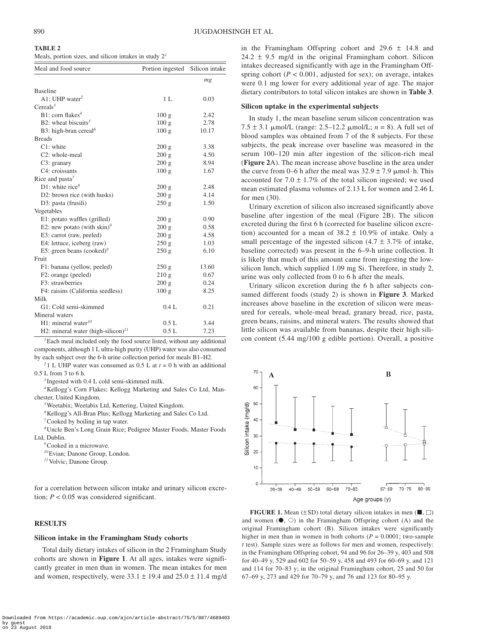**TABLE 2**

|  | TABLE 2 |  |  |  |
|--|---------|--|--|--|
|  |         |  |  |  |

Meals, portion sizes, and silicon intakes in study 2*<sup>1</sup>*

| Meal and food source                    | Portion ingested | Silicon intake |  |  |  |  |
|-----------------------------------------|------------------|----------------|--|--|--|--|
|                                         |                  | mg             |  |  |  |  |
| <b>Baseline</b>                         |                  |                |  |  |  |  |
| A1: UHP water <sup>2</sup>              | 1 <sub>L</sub>   | 0.03           |  |  |  |  |
| Cereals $3$                             |                  |                |  |  |  |  |
| $B1:$ corn flakes <sup>4</sup>          | 100 <sub>g</sub> | 2.42           |  |  |  |  |
| B2: wheat biscuits <sup>5</sup>         | 100 <sub>g</sub> | 2.78           |  |  |  |  |
| B3: high-bran cereal <sup>6</sup>       | 100 <sub>g</sub> | 10.17          |  |  |  |  |
| <b>Breads</b>                           |                  |                |  |  |  |  |
| $C1:$ white                             | 200 g            | 3.38           |  |  |  |  |
| C2: whole-meal                          | 200 g            | 4.50           |  |  |  |  |
| C3: granary                             | 200 g            | 8.94           |  |  |  |  |
| C4: croissants                          | 100 <sub>g</sub> | 1.67           |  |  |  |  |
| Rice and pasta $^7$                     |                  |                |  |  |  |  |
| D1: white rice <sup>8</sup>             | 200 g            | 2.48           |  |  |  |  |
| D2: brown rice (with husks)             | 200 g            | 4.14           |  |  |  |  |
| D3: pasta (frusili)                     | 250 g            | 1.50           |  |  |  |  |
| Vegetables                              |                  |                |  |  |  |  |
| E1: potato waffles (grilled)            | 200 g            | 0.90           |  |  |  |  |
| E2: new potato (with skin) <sup>9</sup> | 200 g            | 0.58           |  |  |  |  |
| E3: carrot (raw, peeled)                | 200 g            | 4.58           |  |  |  |  |
| E4: lettuce, iceberg (raw)              | 250g             | 1.03           |  |  |  |  |
| E5: green beans (cooked) <sup>9</sup>   | 250 g            | 6.10           |  |  |  |  |
| Fruit                                   |                  |                |  |  |  |  |
| F1: banana (yellow, peeled)             | 250 g            | 13.60          |  |  |  |  |
| F2: orange (peeled)                     | 210g             | 0.67           |  |  |  |  |
| F3: strawberries                        | 200 g            | 0.24           |  |  |  |  |
| F4: raisins (California seedless)       | 100g             | 8.25           |  |  |  |  |
| Milk                                    |                  |                |  |  |  |  |
| G1: Cold semi-skimmed                   | 0.4L             | 0.21           |  |  |  |  |
| Mineral waters                          |                  |                |  |  |  |  |
| H1: mineral water <sup>10</sup>         | 0.5L             | 3.44           |  |  |  |  |
| H2: mineral water (high-silicon) $11$   | 0.5L             | 7.23           |  |  |  |  |

*<sup>1</sup>*Each meal included only the food source listed, without any additional components, although 1 L ultra-high purity (UHP) water was also consumed by each subject over the 6-h urine collection period for meals B1–H2.

<sup>2</sup> 1 L UHP water was consumed as 0.5 L at  $t = 0$  h with an additional 0.5 L from 3 to 6 h.

*<sup>3</sup>* Ingested with 0.4 L cold semi-skimmed milk. *4*Kellogg's Corn Flakes; Kellogg Marketing and Sales Co Ltd, Manchester, United Kingdom.

*<sup>5</sup>*Weetabix; Weetabix Ltd, Kettering, United Kingdom.

*<sup>6</sup>*Kellogg's All-Bran Plus; Kellogg Marketing and Sales Co Ltd. *<sup>7</sup>*Cooked by boiling in tap water.

*<sup>8</sup>*Uncle Ben's Long Grain Rice; Pedigree Master Foods, Master Foods Ltd, Dublin.

*<sup>9</sup>*Cooked in a microwave.

*<sup>10</sup>*Evian; Danone Group, London.

*<sup>11</sup>*Volvic; Danone Group.

for a correlation between silicon intake and urinary silicon excretion;  $P < 0.05$  was considered significant.

# **RESULTS**

#### **Silicon intake in the Framingham Study cohorts**

Total daily dietary intakes of silicon in the 2 Framingham Study cohorts are shown in **Figure 1**. At all ages, intakes were significantly greater in men than in women. The mean intakes for men and women, respectively, were  $33.1 \pm 19.4$  and  $25.0 \pm 11.4$  mg/d in the Framingham Offspring cohort and  $29.6 \pm 14.8$  and  $24.2 \pm 9.5$  mg/d in the original Framingham cohort. Silicon intakes decreased significantly with age in the Framingham Offspring cohort  $(P < 0.001$ , adjusted for sex); on average, intakes were 0.1 mg lower for every additional year of age. The major dietary contributors to total silicon intakes are shown in **Table 3**.

## **Silicon uptake in the experimental subjects**

In study 1, the mean baseline serum silicon concentration was  $7.5 \pm 3.1 \text{ }\mu\text{mol/L}$  (range: 2.5–12.2  $\mu\text{mol/L}$ ; *n* = 8). A full set of blood samples was obtained from 7 of the 8 subjects. For these subjects, the peak increase over baseline was measured in the serum 100–120 min after ingestion of the silicon-rich meal (**Figure 2**A). The mean increase above baseline in the area under the curve from 0–6 h after the meal was  $32.9 \pm 7.9 \mu$  mol·h. This accounted for  $7.0 \pm 1.7\%$  of the total silicon ingested; we used mean estimated plasma volumes of 2.13 L for women and 2.46 L for men (30).

Urinary excretion of silicon also increased significantly above baseline after ingestion of the meal (Figure 2B). The silicon excreted during the first 6 h (corrected for baseline silicon excretion) accounted for a mean of  $38.2 \pm 10.9\%$  of intake. Only a small percentage of the ingested silicon  $(4.7 \pm 3.7\%)$  of intake, baseline corrected) was present in the 6–9-h urine collection. It is likely that much of this amount came from ingesting the lowsilicon lunch, which supplied 1.09 mg Si. Therefore, in study 2, urine was only collected from 0 to 6 h after the meals.

Urinary silicon excretion during the 6 h after subjects consumed different foods (study 2) is shown in **Figure 3**. Marked increases above baseline in the excretion of silicon were measured for cereals, whole-meal bread, granary bread, rice, pasta, green beans, raisins, and mineral waters. The results showed that little silicon was available from bananas, despite their high silicon content (5.44 mg/100 g edible portion). Overall, a positive



**FIGURE 1.** Mean  $(\pm SD)$  total dietary silicon intakes in men  $(\blacksquare, \square)$ and women  $(•, 0)$  in the Framingham Offspring cohort (A) and the original Framingham cohort (B). Silicon intakes were significantly higher in men than in women in both cohorts ( $P = 0.0001$ ; two-sample *t* test). Sample sizes were as follows for men and women, respectively: in the Framingham Offspring cohort, 94 and 96 for 26–39 y, 403 and 508 for 40–49 y, 529 and 602 for 50–59 y, 458 and 493 for 60–69 y, and 121 and 114 for 70–83 y; in the original Framingham cohort, 25 and 50 for 67–69 y, 273 and 429 for 70–79 y, and 76 and 123 for 80–95 y.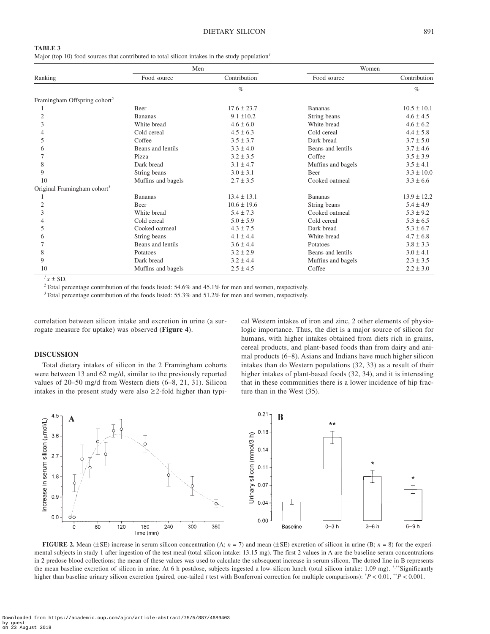#### **TABLE 3**

Major (top 10) food sources that contributed to total silicon intakes in the study population*<sup>1</sup>*

|                                          | Men                |                 | Women              |                 |
|------------------------------------------|--------------------|-----------------|--------------------|-----------------|
| Ranking                                  | Food source        | Contribution    | Food source        | Contribution    |
|                                          |                    | $\%$            |                    | $\%$            |
| Framingham Offspring cohort <sup>2</sup> |                    |                 |                    |                 |
|                                          | <b>Beer</b>        | $17.6 \pm 23.7$ | <b>Bananas</b>     | $10.5 \pm 10.1$ |
| 2                                        | <b>Bananas</b>     | $9.1 \pm 10.2$  | String beans       | $4.6 \pm 4.5$   |
| 3                                        | White bread        | $4.6 \pm 6.0$   | White bread        | $4.6 \pm 6.2$   |
|                                          | Cold cereal        | $4.5 \pm 6.3$   | Cold cereal        | $4.4 \pm 5.8$   |
| 5                                        | Coffee             | $3.5 \pm 3.7$   | Dark bread         | $3.7 \pm 5.0$   |
| 6                                        | Beans and lentils  | $3.3 \pm 4.0$   | Beans and lentils  | $3.7 \pm 4.6$   |
|                                          | Pizza              | $3.2 \pm 3.5$   | Coffee             | $3.5 \pm 3.9$   |
| 8                                        | Dark bread         | $3.1 \pm 4.7$   | Muffins and bagels | $3.5 \pm 4.1$   |
| 9                                        | String beans       | $3.0 \pm 3.1$   | <b>Beer</b>        | $3.3 \pm 10.0$  |
| 10                                       | Muffins and bagels | $2.7 \pm 3.5$   | Cooked oatmeal     | $3.3 \pm 6.6$   |
| Original Framingham cohort <sup>3</sup>  |                    |                 |                    |                 |
|                                          | <b>Bananas</b>     | $13.4 \pm 13.1$ | <b>Bananas</b>     | $13.9 \pm 12.2$ |
| 2                                        | <b>Beer</b>        | $10.6 \pm 19.6$ | String beans       | $5.4 \pm 4.9$   |
| 3                                        | White bread        | $5.4 \pm 7.3$   | Cooked oatmeal     | $5.3 \pm 9.2$   |
|                                          | Cold cereal        | $5.0 \pm 5.9$   | Cold cereal        | $5.3 \pm 6.5$   |
| 5                                        | Cooked oatmeal     | $4.3 \pm 7.5$   | Dark bread         | $5.3 \pm 6.7$   |
| 6                                        | String beans       | $4.1 \pm 4.4$   | White bread        | $4.7 \pm 6.8$   |
|                                          | Beans and lentils  | $3.6 \pm 4.4$   | Potatoes           | $3.8 \pm 3.3$   |
| 8                                        | Potatoes           | $3.2 \pm 2.9$   | Beans and lentils  | $3.0 \pm 4.1$   |
| 9                                        | Dark bread         | $3.2 \pm 4.4$   | Muffins and bagels | $2.3 \pm 3.5$   |
| 10                                       | Muffins and bagels | $2.5 \pm 4.5$   | Coffee             | $2.2 \pm 3.0$   |

 $\sqrt{7x}$  ± SD.

*<sup>2</sup>*Total percentage contribution of the foods listed: 54.6% and 45.1% for men and women, respectively.

*<sup>3</sup>*Total percentage contribution of the foods listed: 55.3% and 51.2% for men and women, respectively.

correlation between silicon intake and excretion in urine (a surrogate measure for uptake) was observed (**Figure 4**).

#### **DISCUSSION**

Total dietary intakes of silicon in the 2 Framingham cohorts were between 13 and 62 mg/d, similar to the previously reported values of 20–50 mg/d from Western diets (6–8, 21, 31). Silicon intakes in the present study were also ≥2-fold higher than typical Western intakes of iron and zinc, 2 other elements of physiologic importance. Thus, the diet is a major source of silicon for humans, with higher intakes obtained from diets rich in grains, cereal products, and plant-based foods than from dairy and animal products (6–8). Asians and Indians have much higher silicon intakes than do Western populations (32, 33) as a result of their higher intakes of plant-based foods (32, 34), and it is interesting that in these communities there is a lower incidence of hip fracture than in the West (35).



**FIGURE 2.** Mean ( $\pm$ SE) increase in serum silicon concentration (A;  $n = 7$ ) and mean ( $\pm$ SE) excretion of silicon in urine (B;  $n = 8$ ) for the experimental subjects in study 1 after ingestion of the test meal (total silicon intake: 13.15 mg). The first 2 values in A are the baseline serum concentrations in 2 predose blood collections; the mean of these values was used to calculate the subsequent increase in serum silicon. The dotted line in B represents the mean baseline excretion of silicon in urine. At 6 h postdose, subjects ingested a low-silicon lunch (total silicon intake: 1.09 mg). \*\*\*Significantly higher than baseline urinary silicon excretion (paired, one-tailed *t* test with Bonferroni correction for multiple comparisons): \* *P* < 0.01, \*\**P* < 0.001.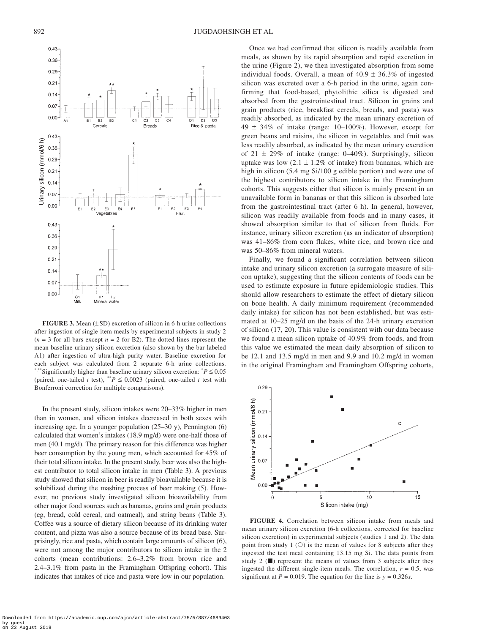

**FIGURE 3.** Mean  $(\pm SD)$  excretion of silicon in 6-h urine collections after ingestion of single-item meals by experimental subjects in study 2  $(n = 3$  for all bars except  $n = 2$  for B2). The dotted lines represent the mean baseline urinary silicon excretion (also shown by the bar labeled A1) after ingestion of ultra-high purity water. Baseline excretion for each subject was calculated from 2 separate 6-h urine collections. \*,\*\*Significantly higher than baseline urinary silicon excretion: \* *P* ≤ 0.05 (paired, one-tailed *t* test), \*\**P*  $\leq$  0.0023 (paired, one-tailed *t* test with Bonferroni correction for multiple comparisons).

In the present study, silicon intakes were 20–33% higher in men than in women, and silicon intakes decreased in both sexes with increasing age. In a younger population (25–30 y), Pennington (6) calculated that women's intakes (18.9 mg/d) were one-half those of men (40.1 mg/d). The primary reason for this difference was higher beer consumption by the young men, which accounted for 45% of their total silicon intake. In the present study, beer was also the highest contributor to total silicon intake in men (Table 3). A previous study showed that silicon in beer is readily bioavailable because it is solubilized during the mashing process of beer making (5). However, no previous study investigated silicon bioavailability from other major food sources such as bananas, grains and grain products (eg, bread, cold cereal, and oatmeal), and string beans (Table 3). Coffee was a source of dietary silicon because of its drinking water content, and pizza was also a source because of its bread base. Surprisingly, rice and pasta, which contain large amounts of silicon (6), were not among the major contributors to silicon intake in the 2 cohorts (mean contributions: 2.6–3.2% from brown rice and 2.4–3.1% from pasta in the Framingham Offspring cohort). This indicates that intakes of rice and pasta were low in our population.

Once we had confirmed that silicon is readily available from meals, as shown by its rapid absorption and rapid excretion in the urine (Figure 2), we then investigated absorption from some individual foods. Overall, a mean of  $40.9 \pm 36.3\%$  of ingested silicon was excreted over a 6-h period in the urine, again confirming that food-based, phytolithic silica is digested and absorbed from the gastrointestinal tract. Silicon in grains and grain products (rice, breakfast cereals, breads, and pasta) was readily absorbed, as indicated by the mean urinary excretion of 49 ± 34% of intake (range: 10–100%). However, except for green beans and raisins, the silicon in vegetables and fruit was less readily absorbed, as indicated by the mean urinary excretion of  $21 \pm 29\%$  of intake (range: 0–40%). Surprisingly, silicon uptake was low  $(2.1 \pm 1.2\%$  of intake) from bananas, which are high in silicon (5.4 mg Si/100 g edible portion) and were one of the highest contributors to silicon intake in the Framingham cohorts. This suggests either that silicon is mainly present in an unavailable form in bananas or that this silicon is absorbed late from the gastrointestinal tract (after 6 h). In general, however, silicon was readily available from foods and in many cases, it showed absorption similar to that of silicon from fluids. For instance, urinary silicon excretion (as an indicator of absorption) was 41–86% from corn flakes, white rice, and brown rice and was 50–86% from mineral waters.

Finally, we found a significant correlation between silicon intake and urinary silicon excretion (a surrogate measure of silicon uptake), suggesting that the silicon contents of foods can be used to estimate exposure in future epidemiologic studies. This should allow researchers to estimate the effect of dietary silicon on bone health. A daily minimum requirement (recommended daily intake) for silicon has not been established, but was estimated at 10–25 mg/d on the basis of the 24-h urinary excretion of silicon (17, 20). This value is consistent with our data because we found a mean silicon uptake of 40.9% from foods, and from this value we estimated the mean daily absorption of silicon to be 12.1 and 13.5 mg/d in men and 9.9 and 10.2 mg/d in women in the original Framingham and Framingham Offspring cohorts,



**FIGURE 4.** Correlation between silicon intake from meals and mean urinary silicon excretion (6-h collections, corrected for baseline silicon excretion) in experimental subjects (studies 1 and 2). The data point from study 1  $(O)$  is the mean of values for 8 subjects after they ingested the test meal containing 13.15 mg Si. The data points from study 2  $(\blacksquare)$  represent the means of values from 3 subjects after they ingested the different single-item meals. The correlation,  $r = 0.5$ , was significant at  $P = 0.019$ . The equation for the line is  $y = 0.326x$ .